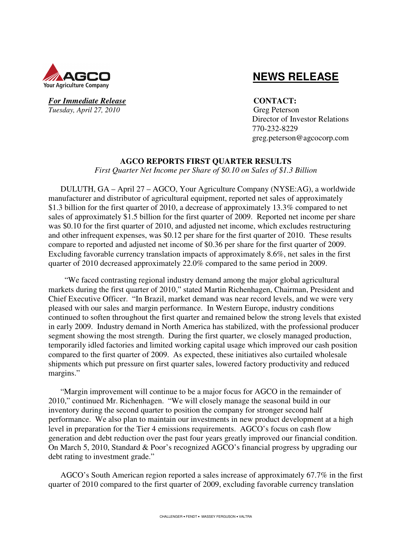

### *For Immediate Release* **CONTACT:** *Tuesday, April 27, 2010* Greg Peterson

# **NEWS RELEASE**

 Director of Investor Relations 770-232-8229 greg.peterson@agcocorp.com

### **AGCO REPORTS FIRST QUARTER RESULTS**

*First Quarter Net Income per Share of \$0.10 on Sales of \$1.3 Billion* 

DULUTH, GA – April 27 – AGCO, Your Agriculture Company (NYSE:AG), a worldwide manufacturer and distributor of agricultural equipment, reported net sales of approximately \$1.3 billion for the first quarter of 2010, a decrease of approximately 13.3% compared to net sales of approximately \$1.5 billion for the first quarter of 2009. Reported net income per share was \$0.10 for the first quarter of 2010, and adjusted net income, which excludes restructuring and other infrequent expenses, was \$0.12 per share for the first quarter of 2010. These results compare to reported and adjusted net income of \$0.36 per share for the first quarter of 2009. Excluding favorable currency translation impacts of approximately 8.6%, net sales in the first quarter of 2010 decreased approximately 22.0% compared to the same period in 2009.

 "We faced contrasting regional industry demand among the major global agricultural markets during the first quarter of 2010," stated Martin Richenhagen, Chairman, President and Chief Executive Officer. "In Brazil, market demand was near record levels, and we were very pleased with our sales and margin performance. In Western Europe, industry conditions continued to soften throughout the first quarter and remained below the strong levels that existed in early 2009. Industry demand in North America has stabilized, with the professional producer segment showing the most strength. During the first quarter, we closely managed production, temporarily idled factories and limited working capital usage which improved our cash position compared to the first quarter of 2009. As expected, these initiatives also curtailed wholesale shipments which put pressure on first quarter sales, lowered factory productivity and reduced margins."

"Margin improvement will continue to be a major focus for AGCO in the remainder of 2010," continued Mr. Richenhagen. "We will closely manage the seasonal build in our inventory during the second quarter to position the company for stronger second half performance. We also plan to maintain our investments in new product development at a high level in preparation for the Tier 4 emissions requirements. AGCO's focus on cash flow generation and debt reduction over the past four years greatly improved our financial condition. On March 5, 2010, Standard & Poor's recognized AGCO's financial progress by upgrading our debt rating to investment grade."

AGCO's South American region reported a sales increase of approximately 67.7% in the first quarter of 2010 compared to the first quarter of 2009, excluding favorable currency translation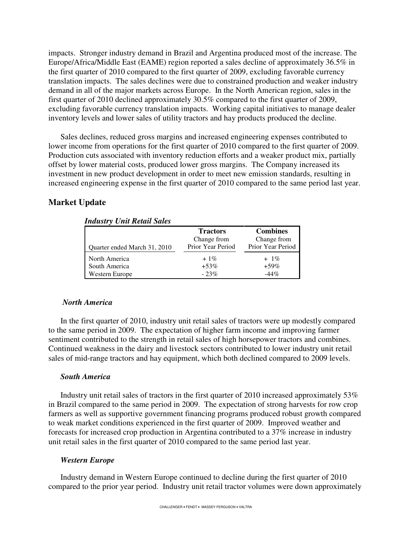impacts. Stronger industry demand in Brazil and Argentina produced most of the increase. The Europe/Africa/Middle East (EAME) region reported a sales decline of approximately 36.5% in the first quarter of 2010 compared to the first quarter of 2009, excluding favorable currency translation impacts. The sales declines were due to constrained production and weaker industry demand in all of the major markets across Europe. In the North American region, sales in the first quarter of 2010 declined approximately 30.5% compared to the first quarter of 2009, excluding favorable currency translation impacts. Working capital initiatives to manage dealer inventory levels and lower sales of utility tractors and hay products produced the decline.

Sales declines, reduced gross margins and increased engineering expenses contributed to lower income from operations for the first quarter of 2010 compared to the first quarter of 2009. Production cuts associated with inventory reduction efforts and a weaker product mix, partially offset by lower material costs, produced lower gross margins. The Company increased its investment in new product development in order to meet new emission standards, resulting in increased engineering expense in the first quarter of 2010 compared to the same period last year.

### **Market Update**

| Inaustry Unit Ketail Sales   |                   |                   |
|------------------------------|-------------------|-------------------|
|                              | <b>Tractors</b>   | <b>Combines</b>   |
|                              | Change from       | Change from       |
| Ouarter ended March 31, 2010 | Prior Year Period | Prior Year Period |
| North America                | $+1\%$            | $+1\%$            |
| South America                | $+53\%$           | $+59\%$           |
| Western Europe               | $-23%$            | $-44%$            |

### *Industry Unit Retail Sales*

#### *North America*

In the first quarter of 2010, industry unit retail sales of tractors were up modestly compared to the same period in 2009. The expectation of higher farm income and improving farmer sentiment contributed to the strength in retail sales of high horsepower tractors and combines. Continued weakness in the dairy and livestock sectors contributed to lower industry unit retail sales of mid-range tractors and hay equipment, which both declined compared to 2009 levels.

### *South America*

Industry unit retail sales of tractors in the first quarter of 2010 increased approximately 53% in Brazil compared to the same period in 2009. The expectation of strong harvests for row crop farmers as well as supportive government financing programs produced robust growth compared to weak market conditions experienced in the first quarter of 2009. Improved weather and forecasts for increased crop production in Argentina contributed to a 37% increase in industry unit retail sales in the first quarter of 2010 compared to the same period last year.

#### *Western Europe*

Industry demand in Western Europe continued to decline during the first quarter of 2010 compared to the prior year period. Industry unit retail tractor volumes were down approximately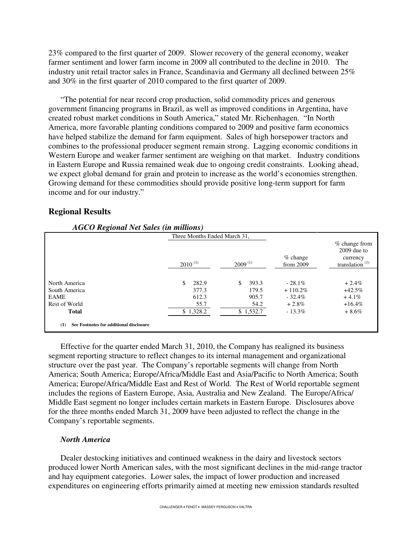23% compared to the first quarter of 2009. Slower recovery of the general economy, weaker farmer sentiment and lower farm income in 2009 all contributed to the decline in 2010. The industry unit retail tractor sales in France, Scandinavia and Germany all declined between 25% and 30% in the first quarter of 2010 compared to the first quarter of 2009.

"The potential for near record crop production, solid commodity prices and generous government financing programs in Brazil, as well as improved conditions in Argentina, have created robust market conditions in South America," stated Mr. Richenhagen. "In North America, more favorable planting conditions compared to 2009 and positive farm economics have helped stabilize the demand for farm equipment. Sales of high horsepower tractors and combines to the professional producer segment remain strong. Lagging economic conditions in Western Europe and weaker farmer sentiment are weighing on that market. Industry conditions in Eastern Europe and Russia remained weak due to ongoing credit constraints. Looking ahead, we expect global demand for grain and protein to increase as the world's economies strengthen. Growing demand for these commodities should provide positive long-term support for farm income and for our industry."

### **Regional Results**

|               | Three Months Ended March 31, |              |                           |                                                                   |
|---------------|------------------------------|--------------|---------------------------|-------------------------------------------------------------------|
|               | $2010^{(1)}$                 | $2009^{(1)}$ | $%$ change<br>from $2009$ | $%$ change from<br>$2009$ due to<br>currency<br>translation $(1)$ |
| North America | 282.9<br>\$.                 | 393.3<br>S   | $-28.1\%$                 | $+2.4%$                                                           |
| South America | 377.3                        | 179.5        | $+110.2\%$                | $+42.5%$                                                          |
| <b>EAME</b>   | 612.3                        | 905.7        | $-32.4\%$                 | $+4.1\%$                                                          |
| Rest of World | 55.7                         | 54.2         | $+2.8\%$                  | $+16.4%$                                                          |
| <b>Total</b>  | \$1,328.2                    | \$1,532.7    | $-13.3\%$                 | $+8.6\%$                                                          |

## *AGCO Regional Net Sales (in millions)*

Effective for the quarter ended March 31, 2010, the Company has realigned its business segment reporting structure to reflect changes to its internal management and organizational structure over the past year. The Company's reportable segments will change from North America; South America; Europe/Africa/Middle East and Asia/Pacific to North America; South America; Europe/Africa/Middle East and Rest of World. The Rest of World reportable segment includes the regions of Eastern Europe, Asia, Australia and New Zealand. The Europe/Africa/ Middle East segment no longer includes certain markets in Eastern Europe. Disclosures above for the three months ended March 31, 2009 have been adjusted to reflect the change in the Company's reportable segments.

### *North America*

Dealer destocking initiatives and continued weakness in the dairy and livestock sectors produced lower North American sales, with the most significant declines in the mid-range tractor and hay equipment categories. Lower sales, the impact of lower production and increased expenditures on engineering efforts primarily aimed at meeting new emission standards resulted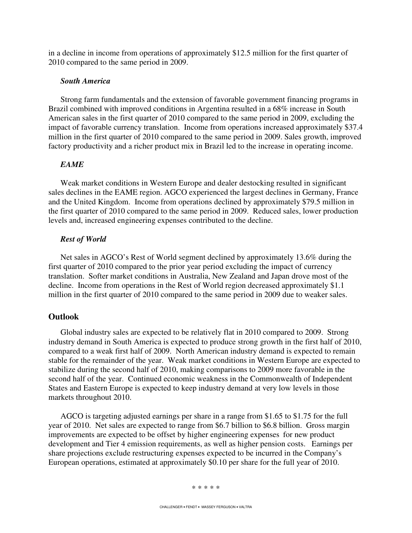in a decline in income from operations of approximately \$12.5 million for the first quarter of 2010 compared to the same period in 2009.

### *South America*

Strong farm fundamentals and the extension of favorable government financing programs in Brazil combined with improved conditions in Argentina resulted in a 68% increase in South American sales in the first quarter of 2010 compared to the same period in 2009, excluding the impact of favorable currency translation. Income from operations increased approximately \$37.4 million in the first quarter of 2010 compared to the same period in 2009. Sales growth, improved factory productivity and a richer product mix in Brazil led to the increase in operating income.

### *EAME*

Weak market conditions in Western Europe and dealer destocking resulted in significant sales declines in the EAME region. AGCO experienced the largest declines in Germany, France and the United Kingdom. Income from operations declined by approximately \$79.5 million in the first quarter of 2010 compared to the same period in 2009. Reduced sales, lower production levels and, increased engineering expenses contributed to the decline.

#### *Rest of World*

Net sales in AGCO's Rest of World segment declined by approximately 13.6% during the first quarter of 2010 compared to the prior year period excluding the impact of currency translation. Softer market conditions in Australia, New Zealand and Japan drove most of the decline. Income from operations in the Rest of World region decreased approximately \$1.1 million in the first quarter of 2010 compared to the same period in 2009 due to weaker sales.

### **Outlook**

Global industry sales are expected to be relatively flat in 2010 compared to 2009. Strong industry demand in South America is expected to produce strong growth in the first half of 2010, compared to a weak first half of 2009. North American industry demand is expected to remain stable for the remainder of the year. Weak market conditions in Western Europe are expected to stabilize during the second half of 2010, making comparisons to 2009 more favorable in the second half of the year. Continued economic weakness in the Commonwealth of Independent States and Eastern Europe is expected to keep industry demand at very low levels in those markets throughout 2010.

AGCO is targeting adjusted earnings per share in a range from \$1.65 to \$1.75 for the full year of 2010. Net sales are expected to range from \$6.7 billion to \$6.8 billion. Gross margin improvements are expected to be offset by higher engineering expenses for new product development and Tier 4 emission requirements, as well as higher pension costs. Earnings per share projections exclude restructuring expenses expected to be incurred in the Company's European operations, estimated at approximately \$0.10 per share for the full year of 2010.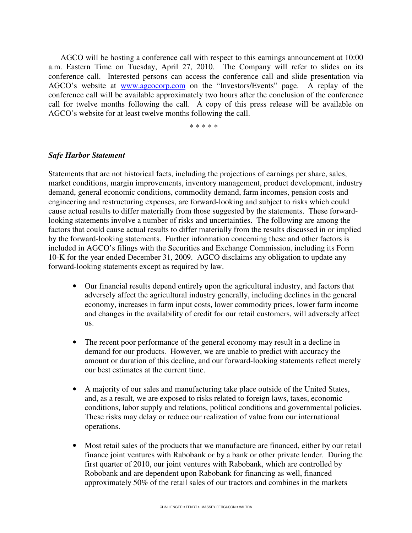AGCO will be hosting a conference call with respect to this earnings announcement at 10:00 a.m. Eastern Time on Tuesday, April 27, 2010. The Company will refer to slides on its conference call. Interested persons can access the conference call and slide presentation via AGCO's website at www.agcocorp.com on the "Investors/Events" page. A replay of the conference call will be available approximately two hours after the conclusion of the conference call for twelve months following the call. A copy of this press release will be available on AGCO's website for at least twelve months following the call.

\* \* \* \* \*

### *Safe Harbor Statement*

Statements that are not historical facts, including the projections of earnings per share, sales, market conditions, margin improvements, inventory management, product development, industry demand, general economic conditions, commodity demand, farm incomes, pension costs and engineering and restructuring expenses, are forward-looking and subject to risks which could cause actual results to differ materially from those suggested by the statements. These forwardlooking statements involve a number of risks and uncertainties. The following are among the factors that could cause actual results to differ materially from the results discussed in or implied by the forward-looking statements. Further information concerning these and other factors is included in AGCO's filings with the Securities and Exchange Commission, including its Form 10-K for the year ended December 31, 2009. AGCO disclaims any obligation to update any forward-looking statements except as required by law.

- Our financial results depend entirely upon the agricultural industry, and factors that adversely affect the agricultural industry generally, including declines in the general economy, increases in farm input costs, lower commodity prices, lower farm income and changes in the availability of credit for our retail customers, will adversely affect us.
- The recent poor performance of the general economy may result in a decline in demand for our products. However, we are unable to predict with accuracy the amount or duration of this decline, and our forward-looking statements reflect merely our best estimates at the current time.
- A majority of our sales and manufacturing take place outside of the United States, and, as a result, we are exposed to risks related to foreign laws, taxes, economic conditions, labor supply and relations, political conditions and governmental policies. These risks may delay or reduce our realization of value from our international operations.
- Most retail sales of the products that we manufacture are financed, either by our retail finance joint ventures with Rabobank or by a bank or other private lender. During the first quarter of 2010, our joint ventures with Rabobank, which are controlled by Robobank and are dependent upon Rabobank for financing as well, financed approximately 50% of the retail sales of our tractors and combines in the markets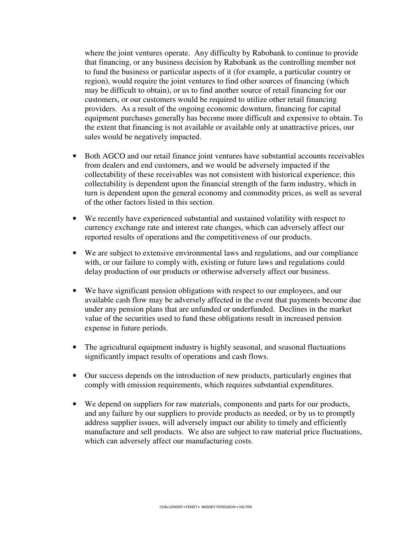where the joint ventures operate. Any difficulty by Rabobank to continue to provide that financing, or any business decision by Rabobank as the controlling member not to fund the business or particular aspects of it (for example, a particular country or region), would require the joint ventures to find other sources of financing (which may be difficult to obtain), or us to find another source of retail financing for our customers, or our customers would be required to utilize other retail financing providers. As a result of the ongoing economic downturn, financing for capital equipment purchases generally has become more difficult and expensive to obtain. To the extent that financing is not available or available only at unattractive prices, our sales would be negatively impacted.

- Both AGCO and our retail finance joint ventures have substantial accounts receivables from dealers and end customers, and we would be adversely impacted if the collectability of these receivables was not consistent with historical experience; this collectability is dependent upon the financial strength of the farm industry, which in turn is dependent upon the general economy and commodity prices, as well as several of the other factors listed in this section.
- We recently have experienced substantial and sustained volatility with respect to currency exchange rate and interest rate changes, which can adversely affect our reported results of operations and the competitiveness of our products.
- We are subject to extensive environmental laws and regulations, and our compliance with, or our failure to comply with, existing or future laws and regulations could delay production of our products or otherwise adversely affect our business.
- We have significant pension obligations with respect to our employees, and our available cash flow may be adversely affected in the event that payments become due under any pension plans that are unfunded or underfunded. Declines in the market value of the securities used to fund these obligations result in increased pension expense in future periods.
- The agricultural equipment industry is highly seasonal, and seasonal fluctuations significantly impact results of operations and cash flows.
- Our success depends on the introduction of new products, particularly engines that comply with emission requirements, which requires substantial expenditures.
- We depend on suppliers for raw materials, components and parts for our products, and any failure by our suppliers to provide products as needed, or by us to promptly address supplier issues, will adversely impact our ability to timely and efficiently manufacture and sell products. We also are subject to raw material price fluctuations, which can adversely affect our manufacturing costs.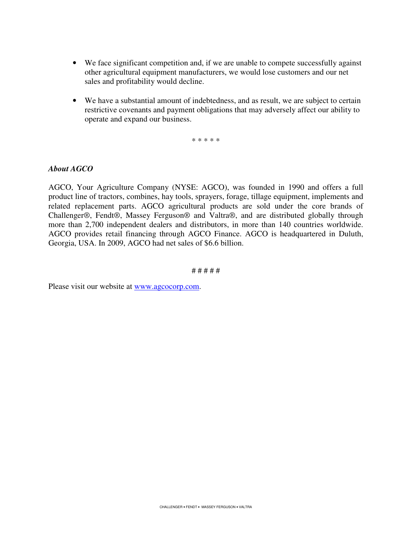- We face significant competition and, if we are unable to compete successfully against other agricultural equipment manufacturers, we would lose customers and our net sales and profitability would decline.
- We have a substantial amount of indebtedness, and as result, we are subject to certain restrictive covenants and payment obligations that may adversely affect our ability to operate and expand our business.

\* \* \* \* \*

### *About AGCO*

AGCO, Your Agriculture Company (NYSE: AGCO), was founded in 1990 and offers a full product line of tractors, combines, hay tools, sprayers, forage, tillage equipment, implements and related replacement parts. AGCO agricultural products are sold under the core brands of Challenger®, Fendt®, Massey Ferguson® and Valtra®, and are distributed globally through more than 2,700 independent dealers and distributors, in more than 140 countries worldwide. AGCO provides retail financing through AGCO Finance. AGCO is headquartered in Duluth, Georgia, USA. In 2009, AGCO had net sales of \$6.6 billion.

# # # # #

Please visit our website at www.agcocorp.com.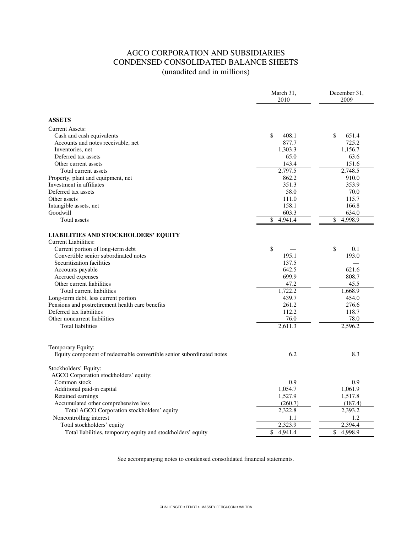### AGCO CORPORATION AND SUBSIDIARIES CONDENSED CONSOLIDATED BALANCE SHEETS (unaudited and in millions)

|                                                                      | March 31,<br>2010 | December 31,<br>2009 |
|----------------------------------------------------------------------|-------------------|----------------------|
|                                                                      |                   |                      |
| <b>ASSETS</b>                                                        |                   |                      |
| <b>Current Assets:</b>                                               |                   |                      |
| Cash and cash equivalents                                            | \$<br>408.1       | \$<br>651.4          |
| Accounts and notes receivable, net                                   | 877.7             | 725.2                |
| Inventories, net                                                     | 1,303.3           | 1.156.7              |
| Deferred tax assets                                                  | 65.0              | 63.6                 |
| Other current assets                                                 | 143.4             | 151.6                |
| Total current assets                                                 | 2.797.5           | 2.748.5              |
|                                                                      | 862.2             | 910.0                |
| Property, plant and equipment, net<br>Investment in affiliates       | 351.3             | 353.9                |
| Deferred tax assets                                                  | 58.0              | 70.0                 |
| Other assets                                                         | 111.0             | 115.7                |
|                                                                      | 158.1             | 166.8                |
| Intangible assets, net<br>Goodwill                                   | 603.3             | 634.0                |
|                                                                      |                   |                      |
| Total assets                                                         | \$<br>4,941.4     | \$<br>4,998.9        |
| <b>LIABILITIES AND STOCKHOLDERS' EQUITY</b>                          |                   |                      |
| <b>Current Liabilities:</b>                                          |                   |                      |
| Current portion of long-term debt                                    | \$                | \$<br>0.1            |
| Convertible senior subordinated notes                                | 195.1             | 193.0                |
| Securitization facilities                                            | 137.5             |                      |
| Accounts payable                                                     | 642.5             | 621.6                |
| Accrued expenses                                                     | 699.9             | 808.7                |
| Other current liabilities                                            | 47.2              | 45.5                 |
| Total current liabilities                                            | 1,722.2           | 1,668.9              |
| Long-term debt, less current portion                                 | 439.7             | 454.0                |
| Pensions and postretirement health care benefits                     | 261.2             | 276.6                |
| Deferred tax liabilities                                             | 112.2             | 118.7                |
| Other noncurrent liabilities                                         | 76.0              | 78.0                 |
| <b>Total liabilities</b>                                             | 2,611.3           | 2,596.2              |
|                                                                      |                   |                      |
|                                                                      |                   |                      |
| Temporary Equity:                                                    |                   |                      |
| Equity component of redeemable convertible senior subordinated notes | 6.2               | 8.3                  |
| Stockholders' Equity:                                                |                   |                      |
| AGCO Corporation stockholders' equity:                               |                   |                      |
| Common stock                                                         | 0.9               | 0.9                  |
| Additional paid-in capital                                           | 1,054.7           | 1,061.9              |
| Retained earnings                                                    | 1,527.9           | 1,517.8              |
| Accumulated other comprehensive loss                                 | (260.7)           | (187.4)              |
| Total AGCO Corporation stockholders' equity                          | 2,322.8           | 2,393.2              |
| Noncontrolling interest                                              | 1.1               | 1.2                  |
| Total stockholders' equity                                           | 2,323.9           | 2,394.4              |
| Total liabilities, temporary equity and stockholders' equity         | \$<br>4,941.4     | 4,998.9<br>\$        |
|                                                                      |                   |                      |

See accompanying notes to condensed consolidated financial statements.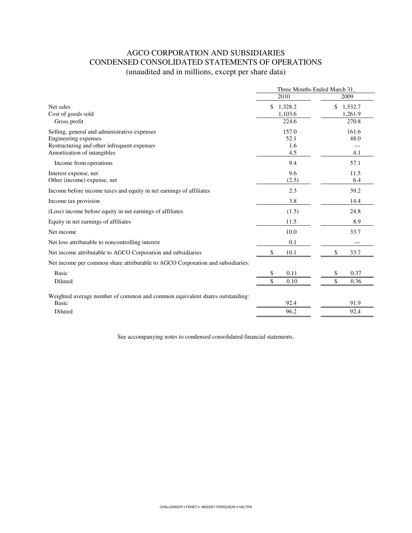### AGCO CORPORATION AND SUBSIDIARIES CONDENSED CONSOLIDATED STATEMENTS OF OPERATIONS (unaudited and in millions, except per share data)

|                                                                                | Three Months Ended March 31, |               |
|--------------------------------------------------------------------------------|------------------------------|---------------|
|                                                                                | 2010                         | 2009          |
| Net sales                                                                      | \$<br>1,328.2                | \$<br>1,532.7 |
| Cost of goods sold                                                             | 1,103.6                      | 1,261.9       |
| Gross profit                                                                   | 224.6                        | 270.8         |
| Selling, general and administrative expenses                                   | 157.0                        | 161.6         |
| Engineering expenses                                                           | 52.1                         | 48.0          |
| Restructuring and other infrequent expenses                                    | 1.6                          |               |
| Amortization of intangibles                                                    | 4.5                          | 4.1           |
| Income from operations                                                         | 9.4                          | 57.1          |
| Interest expense, net                                                          | 9.6                          | 11.5          |
| Other (income) expense, net                                                    | (2.5)                        | 6.4           |
| Income before income taxes and equity in net earnings of affiliates            | 2.3                          | 39.2          |
| Income tax provision                                                           | 3.8                          | 14.4          |
| (Loss) income before equity in net earnings of affiliates                      | (1.5)                        | 24.8          |
| Equity in net earnings of affiliates                                           | 11.5                         | 8.9           |
| Net income                                                                     | 10.0                         | 33.7          |
| Net loss attributable to noncontrolling interest                               | 0.1                          |               |
| Net income attributable to AGCO Corporation and subsidiaries                   | \$<br>10.1                   | \$<br>33.7    |
| Net income per common share attributable to AGCO Corporation and subsidiaries: |                              |               |
| <b>Basic</b>                                                                   | \$<br>0.11                   | \$<br>0.37    |
| Diluted                                                                        | \$<br>0.10                   | \$<br>0.36    |
| Weighted average number of common and common equivalent shares outstanding:    |                              |               |
| <b>Basic</b>                                                                   | 92.4                         | 91.9          |
| Diluted                                                                        | 96.2                         | 92.4          |
|                                                                                |                              |               |

See accompanying notes to condensed consolidated financial statements.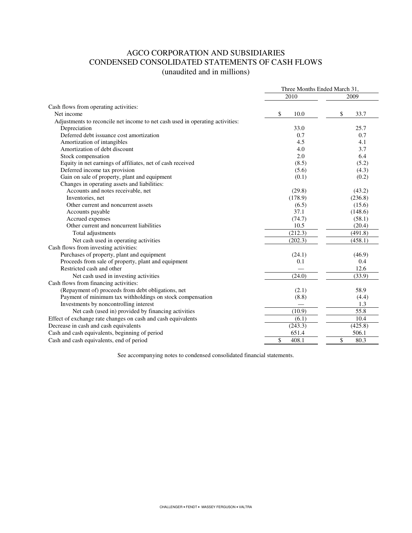### AGCO CORPORATION AND SUBSIDIARIES CONDENSED CONSOLIDATED STATEMENTS OF CASH FLOWS (unaudited and in millions)

|                                                                               | Three Months Ended March 31, |            |
|-------------------------------------------------------------------------------|------------------------------|------------|
|                                                                               | 2010                         | 2009       |
| Cash flows from operating activities:                                         |                              |            |
| Net income                                                                    | \$<br>10.0                   | \$<br>33.7 |
| Adjustments to reconcile net income to net cash used in operating activities: |                              |            |
| Depreciation                                                                  | 33.0                         | 25.7       |
| Deferred debt issuance cost amortization                                      | 0.7                          | 0.7        |
| Amortization of intangibles                                                   | 4.5                          | 4.1        |
| Amortization of debt discount                                                 | 4.0                          | 3.7        |
| Stock compensation                                                            | 2.0                          | 6.4        |
| Equity in net earnings of affiliates, net of cash received                    | (8.5)                        | (5.2)      |
| Deferred income tax provision                                                 | (5.6)                        | (4.3)      |
| Gain on sale of property, plant and equipment                                 | (0.1)                        | (0.2)      |
| Changes in operating assets and liabilities:                                  |                              |            |
| Accounts and notes receivable, net                                            | (29.8)                       | (43.2)     |
| Inventories, net                                                              | (178.9)                      | (236.8)    |
| Other current and noncurrent assets                                           | (6.5)                        | (15.6)     |
| Accounts payable                                                              | 37.1                         | (148.6)    |
| Accrued expenses                                                              | (74.7)                       | (58.1)     |
| Other current and noncurrent liabilities                                      | 10.5                         | (20.4)     |
| Total adjustments                                                             | (212.3)                      | (491.8)    |
| Net cash used in operating activities                                         | (202.3)                      | (458.1)    |
| Cash flows from investing activities:                                         |                              |            |
| Purchases of property, plant and equipment                                    | (24.1)                       | (46.9)     |
| Proceeds from sale of property, plant and equipment                           | 0.1                          | 0.4        |
| Restricted cash and other                                                     |                              | 12.6       |
| Net cash used in investing activities                                         | (24.0)                       | (33.9)     |
| Cash flows from financing activities:                                         |                              |            |
| (Repayment of) proceeds from debt obligations, net                            | (2.1)                        | 58.9       |
| Payment of minimum tax withholdings on stock compensation                     | (8.8)                        | (4.4)      |
| Investments by noncontrolling interest                                        |                              | 1.3        |
| Net cash (used in) provided by financing activities                           | (10.9)                       | 55.8       |
| Effect of exchange rate changes on cash and cash equivalents                  | (6.1)                        | 10.4       |
| Decrease in cash and cash equivalents                                         | (243.3)                      | (425.8)    |
| Cash and cash equivalents, beginning of period                                | 651.4                        | 506.1      |
| Cash and cash equivalents, end of period                                      | \$<br>408.1                  | \$<br>80.3 |
|                                                                               |                              |            |

See accompanying notes to condensed consolidated financial statements.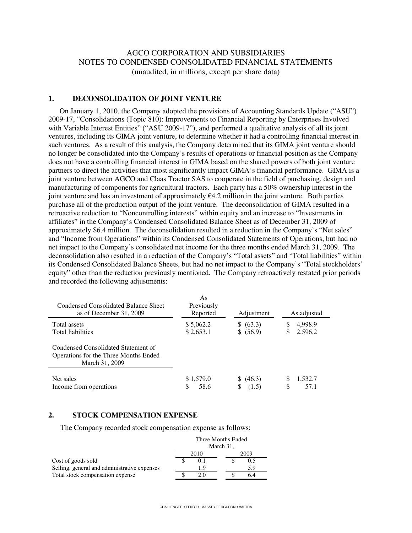### AGCO CORPORATION AND SUBSIDIARIES NOTES TO CONDENSED CONSOLIDATED FINANCIAL STATEMENTS (unaudited, in millions, except per share data)

#### **1. DECONSOLIDATION OF JOINT VENTURE**

 On January 1, 2010, the Company adopted the provisions of Accounting Standards Update ("ASU") 2009-17, "Consolidations (Topic 810): Improvements to Financial Reporting by Enterprises Involved with Variable Interest Entities" ("ASU 2009-17"), and performed a qualitative analysis of all its joint ventures, including its GIMA joint venture, to determine whether it had a controlling financial interest in such ventures. As a result of this analysis, the Company determined that its GIMA joint venture should no longer be consolidated into the Company's results of operations or financial position as the Company does not have a controlling financial interest in GIMA based on the shared powers of both joint venture partners to direct the activities that most significantly impact GIMA's financial performance. GIMA is a joint venture between AGCO and Claas Tractor SAS to cooperate in the field of purchasing, design and manufacturing of components for agricultural tractors. Each party has a 50% ownership interest in the joint venture and has an investment of approximately  $64.2$  million in the joint venture. Both parties purchase all of the production output of the joint venture. The deconsolidation of GIMA resulted in a retroactive reduction to "Noncontrolling interests" within equity and an increase to "Investments in affiliates" in the Company's Condensed Consolidated Balance Sheet as of December 31, 2009 of approximately \$6.4 million. The deconsolidation resulted in a reduction in the Company's "Net sales" and "Income from Operations" within its Condensed Consolidated Statements of Operations, but had no net impact to the Company's consolidated net income for the three months ended March 31, 2009. The deconsolidation also resulted in a reduction of the Company's "Total assets" and "Total liabilities" within its Condensed Consolidated Balance Sheets, but had no net impact to the Company's "Total stockholders' equity" other than the reduction previously mentioned. The Company retroactively restated prior periods and recorded the following adjustments:

| Condensed Consolidated Balance Sheet<br>as of December 31, 2009                                | As<br>Previously<br>Reported | Adjustment              | As adjusted                |
|------------------------------------------------------------------------------------------------|------------------------------|-------------------------|----------------------------|
| Total assets<br><b>Total liabilities</b>                                                       | \$5,062.2<br>\$2,653.1       | \$ (63.3)<br>\$ (56.9)  | 4,998.9<br>S<br>2,596.2    |
| Condensed Consolidated Statement of<br>Operations for the Three Months Ended<br>March 31, 2009 |                              |                         |                            |
| Net sales<br>Income from operations                                                            | \$1,579.0<br>58.6            | \$ (46.3)<br>(1.5)<br>S | 1,532.7<br>S<br>\$<br>57.1 |

#### **2. STOCK COMPENSATION EXPENSE**

The Company recorded stock compensation expense as follows:

|                                              | Three Months Ended |     |  |
|----------------------------------------------|--------------------|-----|--|
|                                              | March 31,          |     |  |
|                                              | 2010<br>2009       |     |  |
| Cost of goods sold                           |                    | 0.5 |  |
| Selling, general and administrative expenses | 1.9                | 5.9 |  |
| Total stock compensation expense             | 2.0                | 6.4 |  |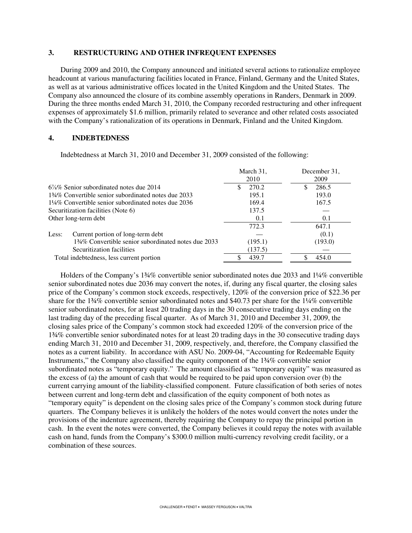#### **3. RESTRUCTURING AND OTHER INFREQUENT EXPENSES**

During 2009 and 2010, the Company announced and initiated several actions to rationalize employee headcount at various manufacturing facilities located in France, Finland, Germany and the United States, as well as at various administrative offices located in the United Kingdom and the United States. The Company also announced the closure of its combine assembly operations in Randers, Denmark in 2009. During the three months ended March 31, 2010, the Company recorded restructuring and other infrequent expenses of approximately \$1.6 million, primarily related to severance and other related costs associated with the Company's rationalization of its operations in Denmark, Finland and the United Kingdom.

#### **4. INDEBTEDNESS**

Indebtedness at March 31, 2010 and December 31, 2009 consisted of the following:

|                                                                 | March 31,<br>2010 | December 31,<br>2009 |
|-----------------------------------------------------------------|-------------------|----------------------|
| $6\%$ % Senior subordinated notes due 2014                      | 270.2             | 286.5                |
| 134\% Convertible senior subordinated notes due 2033            | 195.1             | 193.0                |
| $1\frac{1}{4}\%$ Convertible senior subordinated notes due 2036 | 169.4             | 167.5                |
| Securitization facilities (Note 6)                              | 137.5             |                      |
| Other long-term debt                                            | 0.1               | 0.1                  |
|                                                                 | 772.3             | 647.1                |
| Current portion of long-term debt<br>Less:                      |                   | (0.1)                |
| 134% Convertible senior subordinated notes due 2033             | (195.1)           | (193.0)              |
| Securitization facilities                                       | (137.5)           |                      |
| Total indebtedness, less current portion                        | 439.7             | 454.0                |

 Holders of the Company's 1¾% convertible senior subordinated notes due 2033 and 1¼% convertible senior subordinated notes due 2036 may convert the notes, if, during any fiscal quarter, the closing sales price of the Company's common stock exceeds, respectively, 120% of the conversion price of \$22.36 per share for the 1¼% convertible senior subordinated notes and \$40.73 per share for the 1¼% convertible senior subordinated notes, for at least 20 trading days in the 30 consecutive trading days ending on the last trading day of the preceding fiscal quarter. As of March 31, 2010 and December 31, 2009, the closing sales price of the Company's common stock had exceeded 120% of the conversion price of the 1¾% convertible senior subordinated notes for at least 20 trading days in the 30 consecutive trading days ending March 31, 2010 and December 31, 2009, respectively, and, therefore, the Company classified the notes as a current liability. In accordance with ASU No. 2009-04, "Accounting for Redeemable Equity Instruments," the Company also classified the equity component of the 1¾% convertible senior subordinated notes as "temporary equity." The amount classified as "temporary equity" was measured as the excess of (a) the amount of cash that would be required to be paid upon conversion over (b) the current carrying amount of the liability-classified component. Future classification of both series of notes between current and long-term debt and classification of the equity component of both notes as "temporary equity" is dependent on the closing sales price of the Company's common stock during future quarters. The Company believes it is unlikely the holders of the notes would convert the notes under the provisions of the indenture agreement, thereby requiring the Company to repay the principal portion in cash. In the event the notes were converted, the Company believes it could repay the notes with available cash on hand, funds from the Company's \$300.0 million multi-currency revolving credit facility, or a combination of these sources.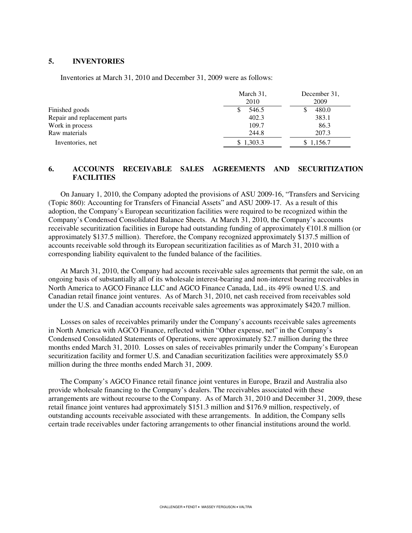#### **5. INVENTORIES**

Inventories at March 31, 2010 and December 31, 2009 were as follows:

|                              | March 31,<br>2010 | December 31.<br>2009 |
|------------------------------|-------------------|----------------------|
| Finished goods               | 546.5             | 480.0                |
| Repair and replacement parts | 402.3             | 383.1                |
| Work in process              | 109.7             | 86.3                 |
| Raw materials                | 244.8             | 207.3                |
| Inventories, net             | \$1,303.3         | \$1,156.7            |

### **6. ACCOUNTS RECEIVABLE SALES AGREEMENTS AND SECURITIZATION FACILITIES**

On January 1, 2010, the Company adopted the provisions of ASU 2009-16, "Transfers and Servicing (Topic 860): Accounting for Transfers of Financial Assets" and ASU 2009-17. As a result of this adoption, the Company's European securitization facilities were required to be recognized within the Company's Condensed Consolidated Balance Sheets. At March 31, 2010, the Company's accounts receivable securitization facilities in Europe had outstanding funding of approximately €101.8 million (or approximately \$137.5 million). Therefore, the Company recognized approximately \$137.5 million of accounts receivable sold through its European securitization facilities as of March 31, 2010 with a corresponding liability equivalent to the funded balance of the facilities.

At March 31, 2010, the Company had accounts receivable sales agreements that permit the sale, on an ongoing basis of substantially all of its wholesale interest-bearing and non-interest bearing receivables in North America to AGCO Finance LLC and AGCO Finance Canada, Ltd., its 49% owned U.S. and Canadian retail finance joint ventures. As of March 31, 2010, net cash received from receivables sold under the U.S. and Canadian accounts receivable sales agreements was approximately \$420.7 million.

Losses on sales of receivables primarily under the Company's accounts receivable sales agreements in North America with AGCO Finance, reflected within "Other expense, net" in the Company's Condensed Consolidated Statements of Operations, were approximately \$2.7 million during the three months ended March 31, 2010. Losses on sales of receivables primarily under the Company's European securitization facility and former U.S. and Canadian securitization facilities were approximately \$5.0 million during the three months ended March 31, 2009.

The Company's AGCO Finance retail finance joint ventures in Europe, Brazil and Australia also provide wholesale financing to the Company's dealers. The receivables associated with these arrangements are without recourse to the Company. As of March 31, 2010 and December 31, 2009, these retail finance joint ventures had approximately \$151.3 million and \$176.9 million, respectively, of outstanding accounts receivable associated with these arrangements. In addition, the Company sells certain trade receivables under factoring arrangements to other financial institutions around the world.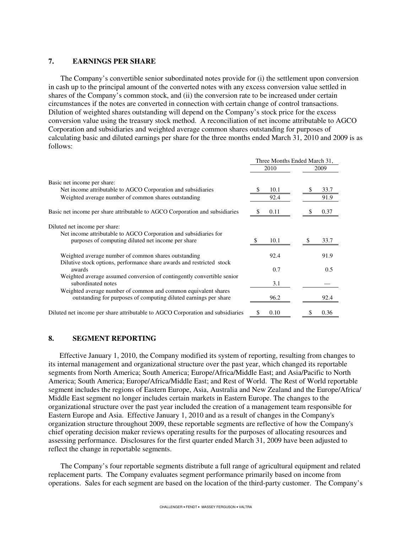### **7. EARNINGS PER SHARE**

The Company's convertible senior subordinated notes provide for (i) the settlement upon conversion in cash up to the principal amount of the converted notes with any excess conversion value settled in shares of the Company's common stock, and (ii) the conversion rate to be increased under certain circumstances if the notes are converted in connection with certain change of control transactions. Dilution of weighted shares outstanding will depend on the Company's stock price for the excess conversion value using the treasury stock method. A reconciliation of net income attributable to AGCO Corporation and subsidiaries and weighted average common shares outstanding for purposes of calculating basic and diluted earnings per share for the three months ended March 31, 2010 and 2009 is as follows:

|                                                                                              | Three Months Ended March 31, |      |
|----------------------------------------------------------------------------------------------|------------------------------|------|
|                                                                                              | 2010                         | 2009 |
| Basic net income per share:                                                                  |                              |      |
| Net income attributable to AGCO Corporation and subsidiaries                                 | 10.1                         | 33.7 |
| Weighted average number of common shares outstanding                                         | 92.4                         | 91.9 |
| Basic net income per share attributable to AGCO Corporation and subsidiaries                 | 0.11                         | 0.37 |
| Diluted net income per share:                                                                |                              |      |
| Net income attributable to AGCO Corporation and subsidiaries for                             |                              |      |
| purposes of computing diluted net income per share                                           | 10.1                         | 33.7 |
| Weighted average number of common shares outstanding                                         | 92.4                         | 91.9 |
| Dilutive stock options, performance share awards and restricted stock                        |                              |      |
| awards                                                                                       | 0.7                          | 0.5  |
| Weighted average assumed conversion of contingently convertible senior<br>subordinated notes | 3.1                          |      |
| Weighted average number of common and common equivalent shares                               |                              |      |
| outstanding for purposes of computing diluted earnings per share                             | 96.2                         | 92.4 |
| Diluted net income per share attributable to AGCO Corporation and subsidiaries               | 0.10<br>S                    | 0.36 |

### **8. SEGMENT REPORTING**

 Effective January 1, 2010, the Company modified its system of reporting, resulting from changes to its internal management and organizational structure over the past year, which changed its reportable segments from North America; South America; Europe/Africa/Middle East; and Asia/Pacific to North America; South America; Europe/Africa/Middle East; and Rest of World. The Rest of World reportable segment includes the regions of Eastern Europe, Asia, Australia and New Zealand and the Europe/Africa/ Middle East segment no longer includes certain markets in Eastern Europe. The changes to the organizational structure over the past year included the creation of a management team responsible for Eastern Europe and Asia. Effective January 1, 2010 and as a result of changes in the Company's organization structure throughout 2009, these reportable segments are reflective of how the Company's chief operating decision maker reviews operating results for the purposes of allocating resources and assessing performance. Disclosures for the first quarter ended March 31, 2009 have been adjusted to reflect the change in reportable segments.

The Company's four reportable segments distribute a full range of agricultural equipment and related replacement parts. The Company evaluates segment performance primarily based on income from operations. Sales for each segment are based on the location of the third-party customer. The Company's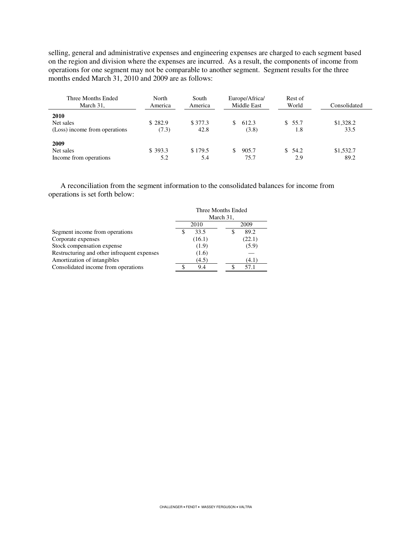selling, general and administrative expenses and engineering expenses are charged to each segment based on the region and division where the expenses are incurred. As a result, the components of income from operations for one segment may not be comparable to another segment. Segment results for the three months ended March 31, 2010 and 2009 are as follows:

| Three Months Ended<br>March 31,                    | North<br>America | South<br>America | Europe/Africa/<br>Middle East | Rest of<br>World | Consolidated      |
|----------------------------------------------------|------------------|------------------|-------------------------------|------------------|-------------------|
| 2010<br>Net sales<br>(Loss) income from operations | \$282.9<br>(7.3) | \$377.3<br>42.8  | 612.3<br>SS.<br>(3.8)         | \$55.7<br>1.8    | \$1,328.2<br>33.5 |
| 2009<br>Net sales<br>Income from operations        | \$393.3<br>5.2   | \$179.5<br>5.4   | 905.7<br>75.7                 | \$54.2<br>2.9    | \$1,532.7<br>89.2 |

A reconciliation from the segment information to the consolidated balances for income from operations is set forth below:

|                                             | Three Months Ended<br>March 31, |        |
|---------------------------------------------|---------------------------------|--------|
|                                             | 2010                            | 2009   |
| Segment income from operations              | 33.5                            | 89.2   |
| Corporate expenses                          | (16.1)                          | (22.1) |
| Stock compensation expense                  | (1.9)                           | (5.9)  |
| Restructuring and other infrequent expenses | (1.6)                           |        |
| Amortization of intangibles                 | (4.5)                           | (4.1)  |
| Consolidated income from operations         | 9.4                             | 57.1   |